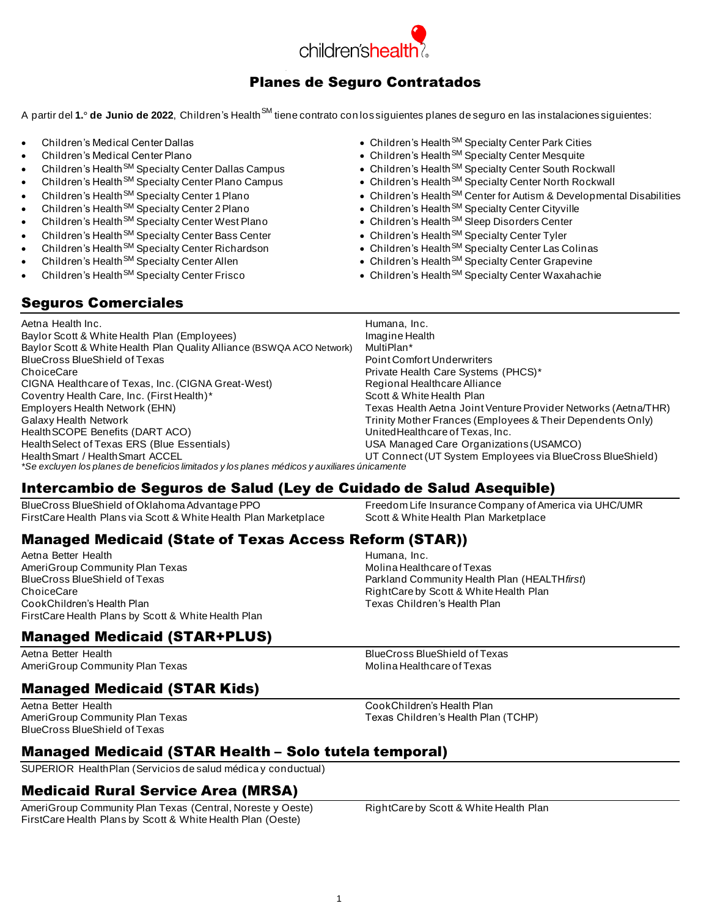

## Planes de Seguro Contratados

A partir del **1.º de Junio de 2022**, Children's Health<sup>SM</sup> tiene contrato con los siguientes planes de seguro en las instalaciones siguientes:

- Children's Medical Center Dallas
- Children's Medical Center Plano
- Children's Health<sup>SM</sup> Specialty Center Dallas Campus
- Children's Health<sup>SM</sup> Specialty Center Plano Campus
- Children's Health<sup>SM</sup> Specialty Center 1 Plano
- Children's Health SM Specialty Center 2 Plano
- Children's Health<sup>SM</sup> Specialty Center West Plano
- Children's Health<sup>SM</sup> Specialty Center Bass Center
- Children's Health<sup>SM</sup> Specialty Center Richardson
- Children's Health<sup>SM</sup> Specialty Center Allen
- Children's Health<sup>SM</sup> Specialty Center Frisco
- Children's Health<sup>SM</sup> Specialty Center Park Cities
- Children's Health<sup>SM</sup> Specialty Center Mesquite
- Children's Health<sup>SM</sup> Specialty Center South Rockwall
- Children's Health<sup>SM</sup> Specialty Center North Rockwall
- Children's Health<sup>SM</sup> Center for Autism & Developmental Disabilities
- Children's Health<sup>SM</sup> Specialty Center Cityville
- Children's Health<sup>SM</sup> Sleep Disorders Center
- Children's Health<sup>SM</sup> Specialty Center Tyler
- Children's Health<sup>SM</sup> Specialty Center Las Colinas
- Children's Health<sup>SM</sup> Specialty Center Grapevine
- Children's Health<sup>SM</sup> Specialty Center Waxahachie

## Seguros Comerciales

| Aetna Health Inc.                                                                            | Humana, Inc.                                                   |
|----------------------------------------------------------------------------------------------|----------------------------------------------------------------|
| Baylor Scott & White Health Plan (Employees)                                                 | Imagine Health                                                 |
| Baylor Scott & White Health Plan Quality Alliance (BSWQA ACO Network)                        | MultiPlan*                                                     |
| BlueCross BlueShield of Texas                                                                | Point Comfort Underwriters                                     |
| ChoiceCare                                                                                   | Private Health Care Systems (PHCS)*                            |
| CIGNA Healthcare of Texas, Inc. (CIGNA Great-West)                                           | Regional Healthcare Alliance                                   |
| Coventry Health Care, Inc. (First Health)*                                                   | Scott & White Health Plan                                      |
| Employers Health Network (EHN)                                                               | Texas Health Aetna Joint Venture Provider Networks (Aetna/THR) |
| Galaxy Health Network                                                                        | Trinity Mother Frances (Employees & Their Dependents Only)     |
| Health SCOPE Benefits (DART ACO)                                                             | United Healthcare of Texas, Inc.                               |
| Health Select of Texas ERS (Blue Essentials)                                                 | USA Managed Care Organizations (USAMCO)                        |
| <b>Health Smart / Health Smart ACCEL</b>                                                     | UT Connect (UT System Employees via BlueCross BlueShield)      |
| *Se excluyen los planes de beneficios limitados y los planes médicos y auxiliares únicamente |                                                                |

## Intercambio de Seguros de Salud (Ley de Cuidado de Salud Asequible)

BlueCross BlueShield of Oklahoma Advantage PPO Freedom Life Insurance Company of America via UHC/UMR FirstCare Health Plans via Scott & White Health Plan Marketplace Scott & White Health Plan Marketplace

## Managed Medicaid (State of Texas Access Reform (STAR))

Aetna Better Health **Humana, Inc. Humana, Inc.** AmeriGroup Community Plan Texas and the community Plan Texas Molina Healthcare of Texas<br>BlueCross BlueShield of Texas and the community Health BlueCross BlueShield of Texas **Parkland Community Health Plan (HEALTH** first)<br>Parkland Community Health Plan (HEALTH first) CookChildren's Health Plan Texas Children's Health Plan FirstCare Health Plans by Scott & White Health Plan

## Managed Medicaid (STAR+PLUS)

Aetna Better Health **BlueCross BlueShield of Texas** AmeriGroup Community Plan Texas Molina Healthcare of Texas

## Managed Medicaid (STAR Kids)

Aetna Better Health CookChildren's Health Plan AmeriGroup Community Plan Texas Texas Texas Children's Health Plan (TCHP) BlueCross BlueShield of Texas

RightCare by Scott & White Health Plan

## Managed Medicaid (STAR Health – Solo tutela temporal)

SUPERIOR HealthPlan (Servicios de salud médica y conductual)

## Medicaid Rural Service Area (MRSA)

AmeriGroup Community Plan Texas (Central, Noreste y Oeste) RightCare by Scott & White Health Plan FirstCare Health Plans by Scott & White Health Plan (Oeste)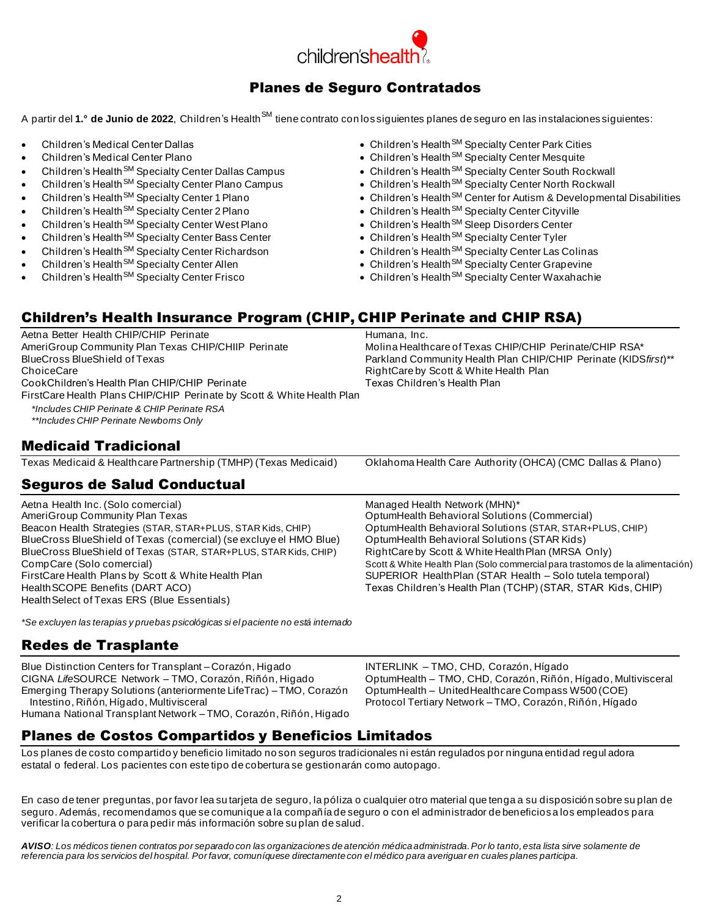

## Planes de Seguro Contratados

A partir del **1.° de Junio de 2022**, Children's Health<sup>SM</sup> tiene contrato con lossiguientes planes de seguro en las instalaciones siguientes:

- Children's Medical Center Dallas
- Children's Medical Center Plano
- Children's Health<sup>SM</sup> Specialty Center Dallas Campus
- Children's Health<sup>SM</sup> Specialty Center Plano Campus
- Children's Health<sup>SM</sup> Specialty Center 1 Plano
- Children's Health<sup>SM</sup> Specialty Center 2 Plano
- Children's Health<sup>SM</sup> Specialty Center West Plano
- Children's Health<sup>SM</sup> Specialty Center Bass Center
- Children's Health<sup>SM</sup> Specialty Center Richardson
- Children's Health<sup>SM</sup> Specialty Center Allen
- Children's Health<sup>SM</sup> Specialty Center Frisco
- Children's Health<sup>SM</sup> Specialty Center Park Cities
- Children's Health<sup>SM</sup> Specialty Center Mesquite
- Children's Health<sup>SM</sup> Specialty Center South Rockwall
- Children's Health<sup>SM</sup> Specialty Center North Rockwall
- Children's Health<sup>SM</sup> Center for Autism & Developmental Disabilities
- Children's Health<sup>SM</sup> Specialty Center Cityville
- Children's Health<sup>SM</sup> Sleep Disorders Center
- Children's Health<sup>SM</sup> Specialty Center Tyler
- Children's Health<sup>SM</sup> Specialty Center Las Colinas
- Children's Health<sup>SM</sup> Specialty Center Grapevine
- Children's Health<sup>SM</sup> Specialty Center Waxahachie

## Children's Health Insurance Program (CHIP, CHIP Perinate and CHIP RSA)

Aetna Better Health CHIP/CHIP Perinate **Humana**, Inc. AmeriGroup Community Plan Texas CHIP/CHIIP Perinate Molina Healthcare of Texas CHIP/CHIP Perinate/CHIP RSA\* BlueCross BlueShield of Texas Parkland Community Health Plan CHIP/CHIP Perinate (KIDS*first*)\*\* ChoiceCare<br>CookChildren's Health Plan CHIP/CHIP Perinate **RightCare by Scott & White Health Plan**<br>Texas Children's Health Plan CookChildren's Health Plan CHIP/CHIP Perinate FirstCare Health Plans CHIP/CHIP Perinate by Scott & White Health Plan *\*Includes CHIP Perinate & CHIP Perinate RSA*

*\*\*Includes CHIP Perinate Newborns Only*

## Medicaid Tradicional

Texas Medicaid & Healthcare Partnership (TMHP) (Texas Medicaid) Oklahoma Health Care Authority (OHCA) (CMC Dallas & Plano)

## Seguros de Salud Conductual

Aetna Health Inc. (Solo comercial) Managed Health Network (MHN)\*<br>AmeriGroup Community Plan Texas Managed Mealth Behavioral Solution Beacon Health Strategies (STAR, STAR+PLUS, STAR Kids, CHIP) BlueCross BlueShield of Texas (comercial) (se excluye el HMO Blue) OptumHealth Behavioral Solutions (STAR Kids) BlueCross BlueShield of Texas (STAR, STAR+PLUS, STAR Kids, CHIP) RightCare by Scott & White HealthPlan (MRSA Only) FirstCare Health Plans by Scott & White Health Plan SUPERIOR Health Plan (STAR Health – Solo tutela temporal) HealthSCOPE Benefits (DART ACO) Texas Children's Health Plan (TCHP) (STAR, STAR Kids, CHIP) HealthSelect of Texas ERS (Blue Essentials)

*\*Se excluyen las terapias y pruebas psicológicas si el paciente no está internado*

## Redes de Trasplante

Blue Distinction Centers for Transplant – Corazón, Higado **INTERLINK – TMO, CHD, Corazón, Hígado** CIGNA *Life*SOURCE Network – TMO, Corazón, Riñón, Higado OptumHealth – TMO, CHD, Corazón, Riñón, Hígado, Multivisceral Emerging Therapy Solutions (anteriormente LifeTrac) – TMO, Corazón OptumHealth – UnitedHealthcare Compass W500 (COE) Intestino, Riñón, Hígado, Multivisceral **Protocol Tertiary Network – TMO, Corazón**, Riñón, Hígado Humana National Transplant Network – TMO, Corazón, Riñón, Higado

OptumHealth Behavioral Solutions (Commercial)<br>OptumHealth Behavioral Solutions (STAR, STAR+PLUS, CHIP) CompCare (Solo comercial) Scott & White Health Plan (Solo commercial para trastomos de la alimentación)

## Planes de Costos Compartidos y Beneficios Limitados

Los planes de costo compartido y beneficio limitado no son seguros tradicionales ni están regulados por ninguna entidad regul adora estatal o federal. Los pacientes con este tipo de cobertura se gestionarán como autopago.

En caso de tener preguntas, por favor lea su tarjeta de seguro, la póliza o cualquier otro material que tenga a su disposición sobre su plan de seguro. Además, recomendamos que se comunique a la compañía de seguro o con el administrador de beneficiosa los empleados para verificar la cobertura o para pedir más información sobre su plan de salud.

AVISO: Los médicos tienen contratos por separado con las organizaciones de atención médica administrada. Por lo tanto, esta lista sirve solamente de *referencia para los servicios del hospital. Por favor, comuníquese directamente con el médico para averiguar en cuales planes participa.*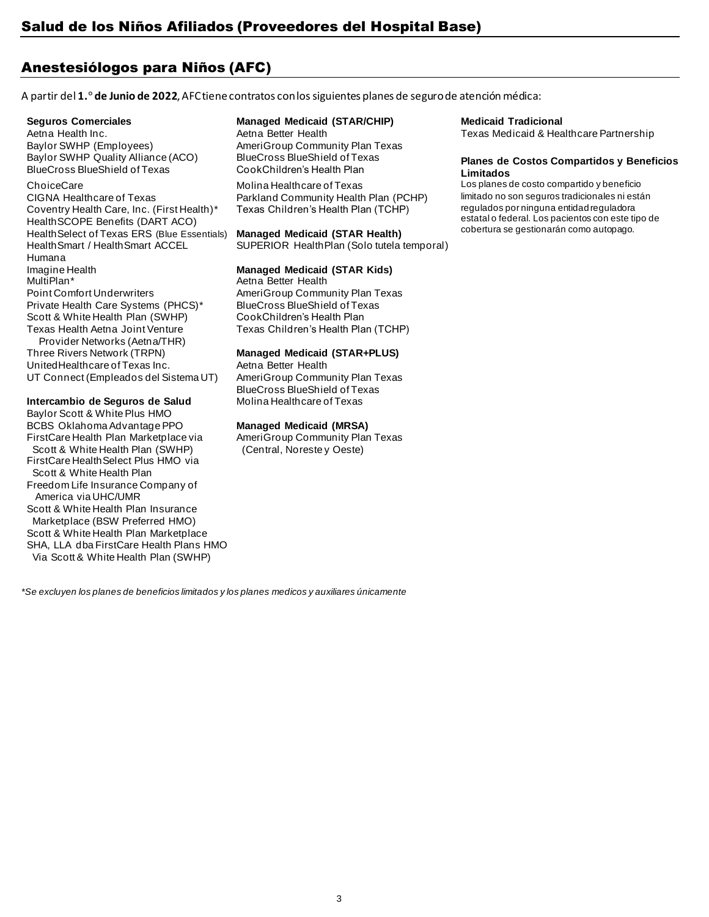## Anestesiólogos para Niños (AFC)

A partir del **1.° de Junio de 2022**, AFC tiene contratos con los siguientes planes de seguro de atención médica:

Baylor SWHP (Employees) Baylor SWHP Quality Alliance (ACO) BlueCross BlueShield of Texas

CIGNA Healthcare of Texas Parkland Community Health Plan (PCHP) rimitado no son seguros tradicionales ni están Coventry Health Care, Inc. (First Health)\* HealthSCOPE Benefits (DART ACO) HealthSelect of Texas ERS (Blue Essentials) HealthSmart / HealthSmart ACCEL Humana Imagine Health<br>MultiPlan\* Point Comfort Underwriters Private Health Care Systems (PHCS)\* Scott & White Health Plan (SWHP) Texas Health Aetna Joint Venture Provider Networks (Aetna/THR)

Three Rivers Network (TRPN) UnitedHealthcare of Texas Inc. UT Connect (Empleados del Sistema UT)

## **Intercambio de Seguros de Salud**

Baylor Scott & White Plus HMO BCBS Oklahoma Advantage PPO FirstCare Health Plan Marketplace via Scott & White Health Plan (SWHP) FirstCare HealthSelect Plus HMO via Scott & White Health Plan Freedom Life Insurance Company of America via UHC/UMR Scott & White Health Plan Insurance Marketplace (BSW Preferred HMO) Scott & White Health Plan Marketplace SHA, LLA dba FirstCare Health Plans HMO Via Scott & White Health Plan (SWHP)

## **Seguros Comerciales Managed Medicaid (STAR/CHIP) Medicaid Tradicional**

AmeriGroup Community Plan Texas BlueCross BlueShield of Texas CookChildren's Health Plan

Texas Children's Health Plan (TCHP)

## **Managed Medicaid (STAR Health)**

SUPERIOR HealthPlan (Solo tutela temporal)

## **Managed Medicaid (STAR Kids)**

Aetna Better Health AmeriGroup Community Plan Texas BlueCross BlueShield of Texas CookChildren's Health Plan Texas Children's Health Plan (TCHP)

## **Managed Medicaid (STAR+PLUS)**

Aetna Better Health AmeriGroup Community Plan Texas BlueCross BlueShield of Texas Molina Healthcare of Texas

## **Managed Medicaid (MRSA)**

AmeriGroup Community Plan Texas (Central, Noreste y Oeste)

Aetna Health Inc. **Aetna Better Health Texas Medicaid & Healthcare Partnership** Texas Medicaid & Healthcare Partnership

#### **Planes de Costos Compartidos y Beneficios Limitados**

ChoiceCare Molina Healthcare of Texas Los planes de costo compartido y beneficio<br>CIGNA Healthcare of Texas Parkland Community Health Plan (PCHP) limitado no son seguros tradicionales ni están regulados por ninguna entidad reguladora estatal o federal. Los pacientos con este tipo de cobertura se gestionarán como autopago.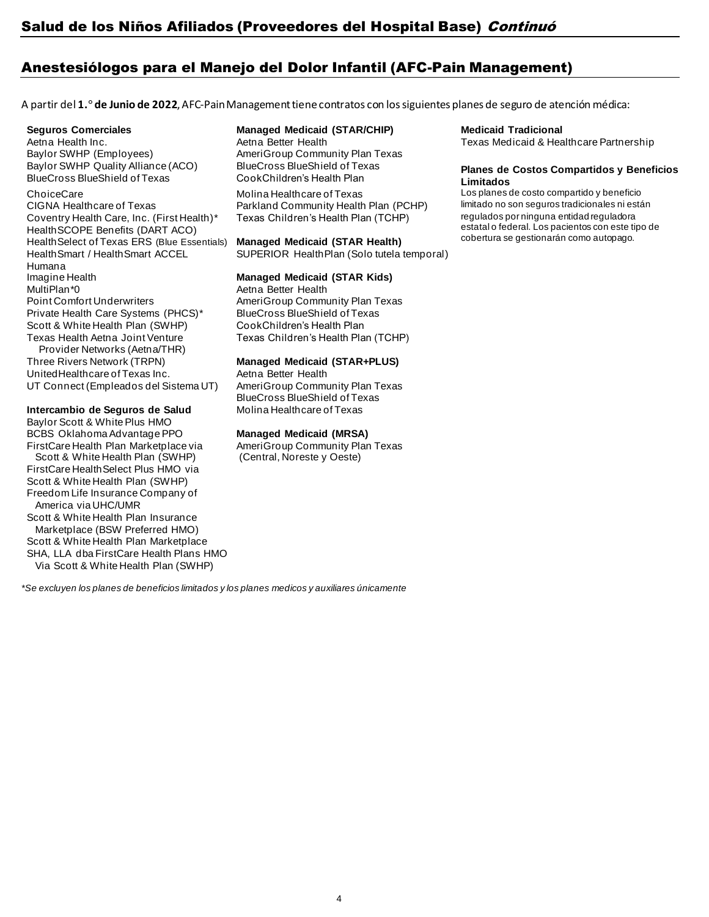## Anestesiólogos para el Manejo del Dolor Infantil (AFC-Pain Management)

A partir del **1.° de Junio de 2022**, AFC-Pain Management tiene contratos con los siguientes planes de seguro de atención médica:

Baylor SWHP (Employees) Baylor SWHP Quality Alliance (ACO)

## BlueCross BlueShield of Texas

CIGNA Healthcare of Texas Parkland Community Health Plan (PCHP) Coventry Health Care, Inc. (First Health)\* HealthSCOPE Benefits (DART ACO) HealthSelect of Texas ERS (Blue Essentials) HealthSmart / HealthSmart ACCEL Humana Imagine Health MultiPlan\*0 **Aetna Better Health** Point Comfort Underwriters Private Health Care Systems (PHCS)\* Scott & White Health Plan (SWHP) Texas Health Aetna Joint Venture Provider Networks (Aetna/THR) Three Rivers Network (TRPN) UnitedHealthcare of Texas Inc.

UT Connect (Empleados del Sistema UT)

### **Intercambio de Seguros de Salud**

Baylor Scott & White Plus HMO BCBS Oklahoma Advantage PPO FirstCare Health Plan Marketplace via Scott & White Health Plan (SWHP) FirstCare HealthSelect Plus HMO via Scott & White Health Plan (SWHP) Freedom Life Insurance Company of America via UHC/UMR Scott & White Health Plan Insurance Marketplace (BSW Preferred HMO) Scott & White Health Plan Marketplace SHA, LLA dba FirstCare Health Plans HMO Via Scott & White Health Plan (SWHP)

## **Seguros Comerciales Managed Medicaid (STAR/CHIP) Medicaid Tradicional**

AmeriGroup Community Plan Texas BlueCross BlueShield of Texas CookChildren's Health Plan

Texas Children's Health Plan (TCHP)

## **Managed Medicaid (STAR Health)**

SUPERIOR HealthPlan (Solo tutela temporal)

## **Managed Medicaid (STAR Kids)**

AmeriGroup Community Plan Texas BlueCross BlueShield of Texas CookChildren's Health Plan Texas Children's Health Plan (TCHP)

## **Managed Medicaid (STAR+PLUS)**

Aetna Better Health AmeriGroup Community Plan Texas BlueCross BlueShield of Texas Molina Healthcare of Texas

## **Managed Medicaid (MRSA)**

AmeriGroup Community Plan Texas (Central, Noreste y Oeste)

Aetna Health Inc. **Aetna Better Health Texas Medicaid & Healthcare Partnership** Texas Medicaid & Healthcare Partnership

## **Planes de Costos Compartidos y Beneficios Limitados**

ChoiceCare Molina Healthcare of Texas Los planes de costo compartido y beneficio<br>CIGNA Healthcare of Texas Parkland Community Health Plan (PCHP) limitado no son seguros tradicionales ni están regulados por ninguna entidad reguladora estatal o federal. Los pacientos con este tipo de cobertura se gestionarán como autopago.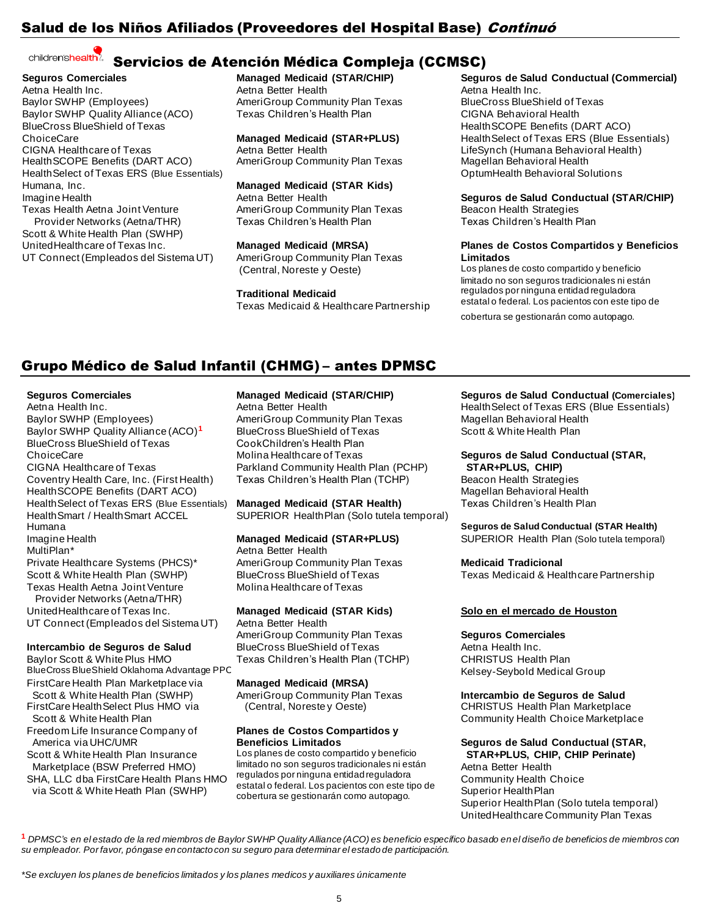## Salud de los Niños Afiliados (Proveedores del Hospital Base) *Continuó*

#### children'shealth? [S](http://www.childrens.com/)ervicios de Atención Médica Compleja (CCMSC)

**Seguros Comerciales** Aetna Health Inc. Baylor SWHP (Employees) Baylor SWHP Quality Alliance (ACO) BlueCross BlueShield of Texas ChoiceCare CIGNA Healthcare of Texas HealthSCOPE Benefits (DART ACO) HealthSelect of Texas ERS (Blue Essentials) Humana, Inc. Imagine Health Texas Health Aetna Joint Venture Provider Networks (Aetna/THR) Scott & White Health Plan (SWHP)

UnitedHealthcare of Texas Inc. UT Connect (Empleados del Sistema UT)

# **Managed Medicaid (STAR/CHIP)**

Aetna Better Health AmeriGroup Community Plan Texas Texas Children's Health Plan

**Managed Medicaid (STAR+PLUS)** Aetna Better Health AmeriGroup Community Plan Texas

**Managed Medicaid (STAR Kids)**

Aetna Better Health AmeriGroup Community Plan Texas Texas Children's Health Plan

**Managed Medicaid (MRSA)** AmeriGroup Community Plan Texas (Central, Noreste y Oeste)

**Traditional Medicaid**

Texas Medicaid & Healthcare Partnership

## **Seguros de Salud Conductual (Commercial)**

Aetna Health Inc. BlueCross BlueShield of Texas CIGNA Behavioral Health HealthSCOPE Benefits (DART ACO) HealthSelect of Texas ERS (Blue Essentials) LifeSynch (Humana Behavioral Health) Magellan Behavioral Health OptumHealth Behavioral Solutions

**Seguros de Salud Conductual (STAR/CHIP)** Beacon Health Strategies Texas Children's Health Plan

## **Planes de Costos Compartidos y Beneficios Limitados**

Los planes de costo compartido y beneficio limitado no son seguros tradicionales ni están regulados por ninguna entidad reguladora estatal o federal. Los pacientos con este tipo de

cobertura se gestionarán como autopago.

## Grupo Médico de Salud Infantil (CHMG) – antes DPMSC

Aetna Health Inc. Baylor SWHP (Employees) Baylor SWHP Quality Alliance (ACO)**<sup>1</sup>** BlueCross BlueShield of Texas ChoiceCare CIGNA Healthcare of Texas Coventry Health Care, Inc. (First Health) HealthSCOPE Benefits (DART ACO) Health Select of Texas ERS (Blue Essentials)<br>Health Smart / Health Smart ACCEL HealthSmart / HealthSmart ACCEL SUPERIOR HealthPlan (Solo tutela temporal)<br>Humana Imagine Health MultiPlan\* Private Healthcare Systems (PHCS)\* Scott & White Health Plan (SWHP) Texas Health Aetna Joint Venture Provider Networks (Aetna/THR)

UnitedHealthcare of Texas Inc. UT Connect (Empleados del Sistema UT)

## **Intercambio de Seguros de Salud**

Baylor Scott & White Plus HMO BlueCross BlueShield Oklahoma Advantage PPC **Kelsey-Seybold Medical Group** 

FirstCare Health Plan Marketplace via **Managed Medicaid (MRSA)** Scott & White Health Plan (SWHP) FirstCare HealthSelect Plus HMO via

 Scott & White Health Plan Freedom Life Insurance Company of **Planes de Costos Compartidos y**

Scott & White Health Plan Insurance Marketplace (BSW Preferred HMO)

SHA, LLC dba FirstCare Health Plans HMO via Scott & White Heath Plan (SWHP)

Aetna Better Health AmeriGroup Community Plan Texas BlueCross BlueShield of Texas CookChildren's Health Plan Molina Healthcare of Texas Parkland Community Health Plan (PCHP) Texas Children's Health Plan (TCHP)

**Managed Medicaid (STAR Health)**

## **Managed Medicaid (STAR+PLUS)**

Aetna Better Health AmeriGroup Community Plan Texas BlueCross BlueShield of Texas Molina Healthcare of Texas

## **Managed Medicaid (STAR Kids)**

Aetna Better Health AmeriGroup Community Plan Texas BlueCross BlueShield of Texas Texas Children's Health Plan (TCHP)

AmeriGroup Community Plan Texas (Central, Noreste y Oeste)

Los planes de costo compartido y beneficio limitado no son seguros tradicionales ni están regulados por ninguna entidad reguladora estatal o federal. Los pacientos con este tipo de cobertura se gestionarán como autopago.

**Seguros Comerciales Managed Medicaid (STAR/CHIP) Seguros de Salud Conductual (Comerciales)** HealthSelect of Texas ERS (Blue Essentials) Magellan Behavioral Health Scott & White Health Plan

## **Seguros de Salud Conductual (STAR,**

 **STAR+PLUS, CHIP)** Beacon Health Strategies Magellan Behavioral Health Texas Children's Health Plan

### **Seguros de Salud Conductual (STAR Health)** SUPERIOR Health Plan (Solo tutela temporal)

**Medicaid Tradicional**

Texas Medicaid & Healthcare Partnership

## **Solo en el mercado de Houston**

**Seguros Comerciales** Aetna Health Inc. CHRISTUS Health Plan

**Intercambio de Seguros de Salud** CHRISTUS Health Plan Marketplace Community Health Choice Marketplace

#### America via UHC/UMR **Beneficios Limitados Seguros de Salud Conductual (STAR, STAR+PLUS, CHIP, CHIP Perinate)**

Aetna Better Health Community Health Choice Superior HealthPlan Superior HealthPlan (Solo tutela temporal) UnitedHealthcare Community Plan Texas

1 DPMSC's en el estado de la red miembros de Baylor SWHP Quality Alliance (ACO) es beneficio específico basado en el diseño de beneficios de miembros con *su empleador. Por favor, póngase en contacto con su seguro para determinar el estado de participación.*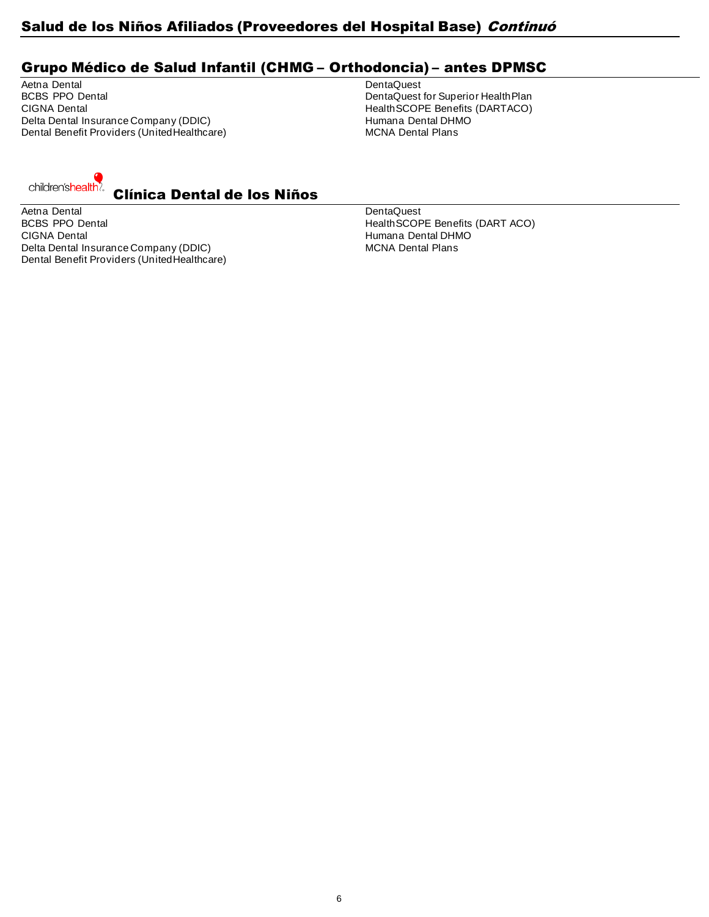## Salud de los Niños Afiliados (Proveedores del Hospital Base) Continuó

## Grupo Médico de Salud Infantil (CHMG – Orthodoncia) – antes DPMSC

Aetna Dental Dental Dental Dental Dental Dental Dental Dental Dental Dental Dental Dental Dental Dental Dental Dental Dental Dental Dental Dental Dental Dental Dental Dental Dental Dental Dental Dental Dental Dental Dental BCBS PPO Dental **BOBS PRO Dental DentaLuck CONS** DentaQuest for Superior HealthPlan<br>CIGNA Dental Dental Dental Dental Dental Dental Health BCOPE Benefits (DARTACO) Delta Dental Insurance Company (DDIC) entitled the manuscular of the Humana Dental DHN<br>
Dental Benefit Providers (United Healthcare) entitled the MCNA Dental Plans Dental Benefit Providers (UnitedHealthcare)

HealthSCOPE Benefits (DARTACO)<br>Humana Dental DHMO



Aetna Dental Dental Dental Dental Dental Dental Dental Dental Dental Dental Dental Dental Dental Dental Dental BCBS PPO Dental **HealthSCOPE Benefits (DART ACO)** HealthSCOPE Benefits (DART ACO) CIGNA Dental (CIGNA Dental DHMO)<br>Delta Dental Insurance Company (DDIC) entitled and the more more than the MCNA Dental Plans Delta Dental Insurance Company (DDIC) Dental Benefit Providers (UnitedHealthcare)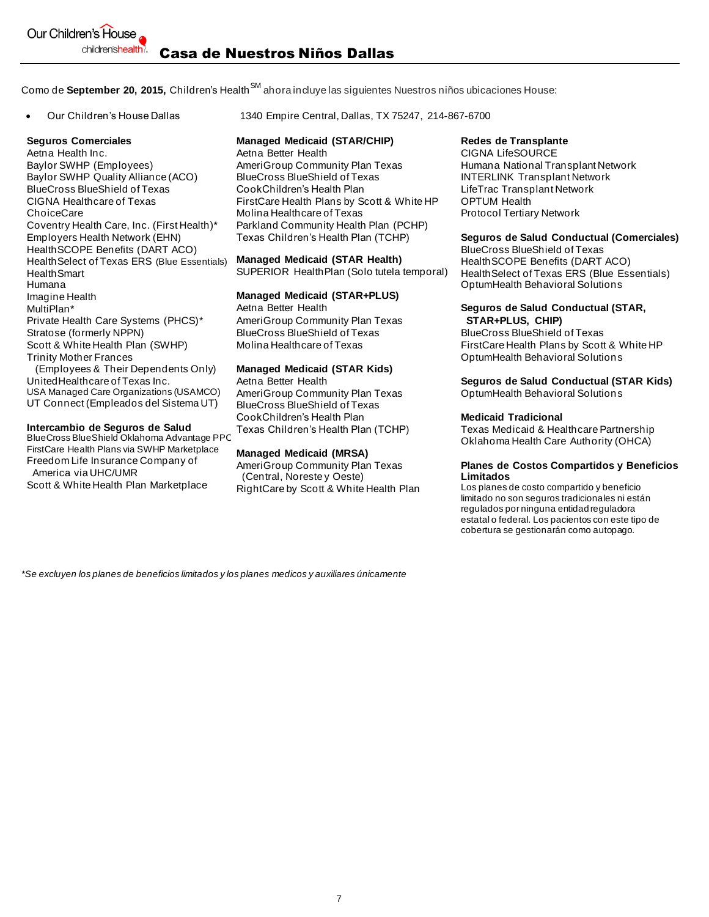Como de **September 20, 2015,** Children's Health<sup>SM</sup> ahora incluye las siguientes Nuestros niños ubicaciones House:

Aetna Health Inc. **A**etna Better Health CIGNA LifeSOURCE Baylor SWHP (Employees) Baylor SWHP Quality Alliance (ACO) BlueCross BlueShield of Texas CIGNA Healthcare of Texas **ChoiceCare** Coventry Health Care, Inc. (First Health)\* Employers Health Network (EHN) HealthSCOPE Benefits (DART ACO) HealthSelect of Texas ERS (Blue Essentials) HealthSmart Humana Imagine Health MultiPlan\* Private Health Care Systems (PHCS)\* Stratose (formerly NPPN) Scott & White Health Plan (SWHP) Trinity Mother Frances (Employees & Their Dependents Only) UnitedHealthcare of Texas Inc.

USA Managed Care Organizations (USAMCO) UT Connect (Empleados del Sistema UT)

## **Intercambio de Seguros de Salud**

BlueCross BlueShield Oklahoma Advantage PPO FirstCare Health Plans via SWHP Marketplace Freedom Life Insurance Company of America via UHC/UMR

Scott & White Health Plan Marketplace

• Our Children's House Dallas 1340 Empire Central, Dallas, TX 75247, 214-867-6700

## **Seguros Comerciales Managed Medicaid (STAR/CHIP) Redes de Transplante**

AmeriGroup Community Plan Texas BlueCross BlueShield of Texas CookChildren's Health Plan FirstCare Health Plans by Scott & White HP Molina Healthcare of Texas Parkland Community Health Plan (PCHP) Texas Children's Health Plan (TCHP)

### **Managed Medicaid (STAR Health)**

SUPERIOR HealthPlan (Solo tutela temporal)

### **Managed Medicaid (STAR+PLUS)**

Aetna Better Health AmeriGroup Community Plan Texas BlueCross BlueShield of Texas Molina Healthcare of Texas

## **Managed Medicaid (STAR Kids)**

Aetna Better Health AmeriGroup Community Plan Texas BlueCross BlueShield of Texas CookChildren's Health Plan Texas Children's Health Plan (TCHP)

### **Managed Medicaid (MRSA)**

AmeriGroup Community Plan Texas (Central, Noreste y Oeste) RightCare by Scott & White Health Plan

Humana National Transplant Network INTERLINK Transplant Network LifeTrac Transplant Network OPTUM Health Protocol Tertiary Network

## **Seguros de Salud Conductual (Comerciales)**

BlueCross BlueShield of Texas HealthSCOPE Benefits (DART ACO) HealthSelect of Texas ERS (Blue Essentials) OptumHealth Behavioral Solutions

#### **Seguros de Salud Conductual (STAR, STAR+PLUS, CHIP)**

BlueCross BlueShield of Texas FirstCare Health Plans by Scott & White HP OptumHealth Behavioral Solutions

## **Seguros de Salud Conductual (STAR Kids)**

OptumHealth Behavioral Solutions

## **Medicaid Tradicional**

Texas Medicaid & Healthcare Partnership Oklahoma Health Care Authority (OHCA)

#### **Planes de Costos Compartidos y Beneficios Limitados**

Los planes de costo compartido y beneficio limitado no son seguros tradicionales ni están regulados por ninguna entidad reguladora estatal o federal. Los pacientos con este tipo de cobertura se gestionarán como autopago.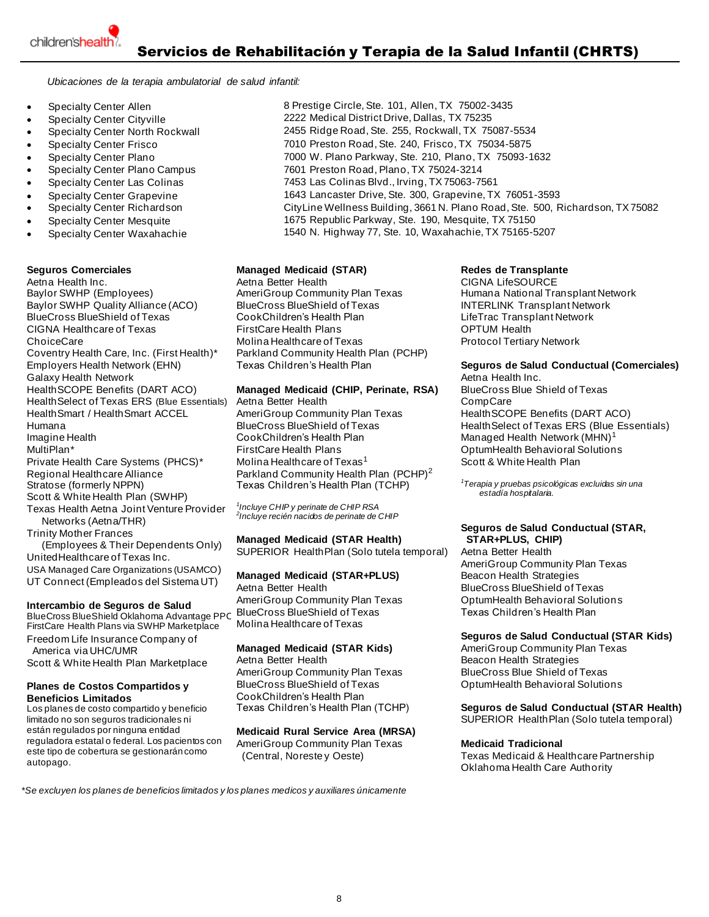*Ubicaciones de la terapia ambulatorial de salud infantil:*

- **Specialty Center Allen**
- Specialty Center Cityville
- 
- 
- 
- 
- 
- 
- Specialty Center Richardson
- Specialty Center Mesquite
- Specialty Center Waxahachie

**Seguros Comerciales Managed Medicaid (STAR) Redes de Transplante** Baylor SWHP (Employees) Baylor SWHP Quality Alliance (ACO) BlueCross BlueShield of Texas CIGNA Healthcare of Texas ChoiceCare Coventry Health Care, Inc. (First Health)\* Employers Health Network (EHN) Galaxy Health Network HealthSCOPE Benefits (DART ACO) HealthSelect of Texas ERS (Blue Essentials) HealthSmart / HealthSmart ACCEL Humana Imagine Health MultiPlan\* Private Health Care Systems (PHCS)\* Regional Healthcare Alliance Stratose (formerly NPPN) Scott & White Health Plan (SWHP) Texas Health Aetna Joint Venture Provider Networks (Aetna/THR) Trinity Mother Frances (Employees & Their Dependents Only)

UnitedHealthcare of Texas Inc. USA Managed Care Organizations (USAMCO) UT Connect (Empleados del Sistema UT)

## **Intercambio de Seguros de Salud**

BlueCross BlueShield Oklahoma Advantage PPO FirstCare Health Plans via SWHP Marketplace

Freedom Life Insurance Company of America via UHC/UMR Scott & White Health Plan Marketplace

#### **Planes de Costos Compartidos y Beneficios Limitados**

Los planes de costo compartido y beneficio limitado no son seguros tradicionales ni están regulados por ninguna entidad reguladora estatal o federal. Los pacientos con este tipo de cobertura se gestionarán como autopago.

- 8 Prestige Circle, Ste. 101, Allen, TX 75002-3435 2222 Medical District Drive, Dallas, TX 75235 • Specialty Center North Rockwall 2455 Ridge Road, Ste. 255, Rockwall, TX 75087-5534 • Specialty Center Frisco 7010 Preston Road, Ste. 240, Frisco, TX 75034-5875 • Specialty Center Plano 7000 W. Plano Parkway, Ste. 210, Plano, TX 75093-1632 • Specialty Center Plano Campus 7601 Preston Road, Plano, TX 75024-3214 • Specialty Center Las Colinas 7453 Las Colinas Blvd., Irving, TX 75063-7561 • Specialty Center Grapevine 1643 Lancaster Drive, Ste. 300, Grapevine, TX 76051-3593 CityLine Wellness Building, 3661 N. Plano Road, Ste. 500, Richardson, TX 75082 1675 Republic Parkway, Ste. 190, Mesquite, TX 75150 1540 N. Highway 77, Ste. 10, Waxahachie, TX 75165-5207
	-

Aetna Better Health **Inc. Actional CIGNA LifeSOURCE** AmeriGroup Community Plan Texas BlueCross BlueShield of Texas CookChildren's Health Plan FirstCare Health Plans Molina Healthcare of Texas Parkland Community Health Plan (PCHP) Texas Children's Health Plan

## **Managed Medicaid (CHIP, Perinate, RSA)**

Aetna Better Health AmeriGroup Community Plan Texas BlueCross BlueShield of Texas CookChildren's Health Plan FirstCare Health Plans Molina Healthcare of Texas<sup>1</sup> Parkland Community Health Plan (PCHP)<sup>2</sup> Texas Children's Health Plan (TCHP)

*1 Incluye CHIP y perinate de CHIP RSA 2 Incluye recién nacidos de perinate de CHIP*

## **Managed Medicaid (STAR Health)**

SUPERIOR HealthPlan (Solo tutela temporal)

## **Managed Medicaid (STAR+PLUS)**

Aetna Better Health AmeriGroup Community Plan Texas BlueCross BlueShield of Texas Molina Healthcare of Texas

## **Managed Medicaid (STAR Kids)**

Aetna Better Health AmeriGroup Community Plan Texas BlueCross BlueShield of Texas CookChildren's Health Plan Texas Children's Health Plan (TCHP)

## **Medicaid Rural Service Area (MRSA)**

AmeriGroup Community Plan Texas (Central, Noreste y Oeste)

Humana National Transplant Network INTERLINK Transplant Network LifeTrac Transplant Network OPTUM Health Protocol Tertiary Network

## **Seguros de Salud Conductual (Comerciales)**

Aetna Health Inc. BlueCross Blue Shield of Texas CompCare HealthSCOPE Benefits (DART ACO) HealthSelect of Texas ERS (Blue Essentials) Managed Health Network (MHN)<sup>1</sup> OptumHealth Behavioral Solutions Scott & White Health Plan

*<sup>1</sup>Terapia y pruebas psicológicas excluidas sin una estadía hospitalaria.*

## **Seguros de Salud Conductual (STAR, STAR+PLUS, CHIP)**

Aetna Better Health AmeriGroup Community Plan Texas Beacon Health Strategies BlueCross BlueShield of Texas OptumHealth Behavioral Solutions Texas Children's Health Plan

## **Seguros de Salud Conductual (STAR Kids)**

AmeriGroup Community Plan Texas Beacon Health Strategies BlueCross Blue Shield of Texas OptumHealth Behavioral Solutions

### **Seguros de Salud Conductual (STAR Health)** SUPERIOR HealthPlan (Solo tutela temporal)

## **Medicaid Tradicional**

Texas Medicaid & Healthcare Partnership Oklahoma Health Care Authority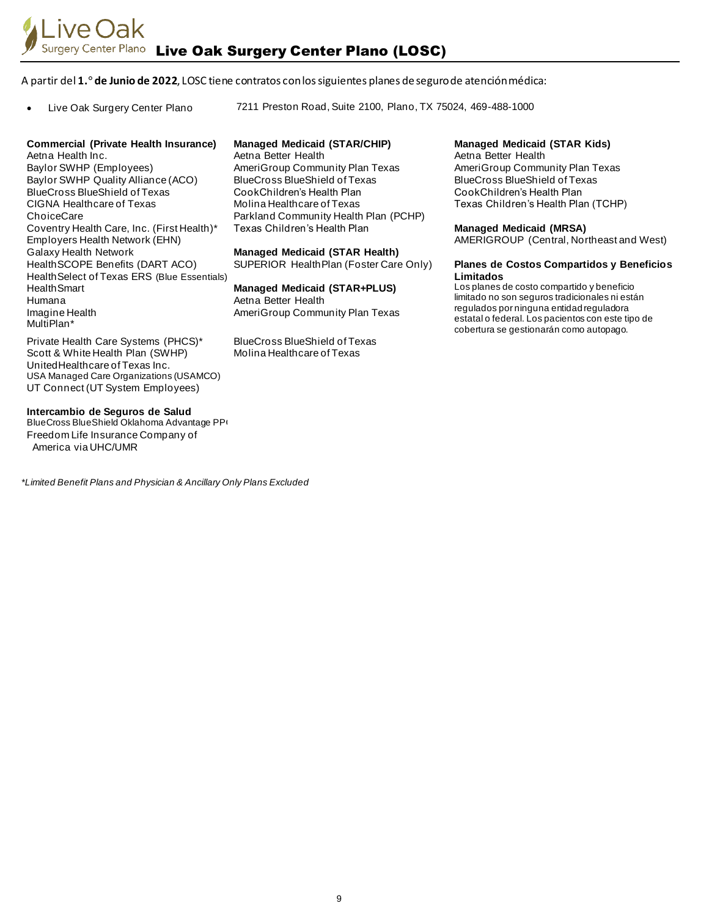## A partir del **1.° de Junio de 2022**, LOSC tiene contratos con los siguientes planes de seguro de atención médica:

• Live Oak Surgery Center Plano 7211 Preston Road, Suite 2100, Plano, TX 75024, 469-488-1000

### **Commercial (Private Health Insurance) Managed Medicaid (STAR/CHIP) Managed Medicaid (STAR Kids)**

Aetna Health Inc. **Aetna Better Health** Aetna Better Health Aetna Better Health Baylor SWHP (Employees) Baylor SWHP Quality Alliance (ACO) BlueCross BlueShield of Texas CIGNA Healthcare of Texas **ChoiceCare** Coventry Health Care, Inc. (First Health)\* Employers Health Network (EHN) Galaxy Health Network HealthSCOPE Benefits (DART ACO) HealthSelect of Texas ERS (Blue Essentials) HealthSmart Humana Imagine Health MultiPlan\*

AmeriGroup Community Plan Texas BlueCross BlueShield of Texas CookChildren's Health Plan Molina Healthcare of Texas Parkland Community Health Plan (PCHP)

## **Managed Medicaid (STAR Health)**

SUPERIOR HealthPlan (Foster Care Only)

#### **Managed Medicaid (STAR+PLUS)** Aetna Better Health

AmeriGroup Community Plan Texas

BlueCross BlueShield of Texas Molina Healthcare of Texas

AmeriGroup Community Plan Texas BlueCross BlueShield of Texas CookChildren's Health Plan Texas Children's Health Plan (TCHP)

## **Managed Medicaid (MRSA)**

AMERIGROUP (Central, Northeast and West)

#### **Planes de Costos Compartidos y Beneficios Limitados**

Los planes de costo compartido y beneficio limitado no son seguros tradicionales ni están regulados por ninguna entidad reguladora estatal o federal. Los pacientos con este tipo de cobertura se gestionarán como autopago.

Private Health Care Systems (PHCS)\* Scott & White Health Plan (SWHP) UnitedHealthcare of Texas Inc. USA Managed Care Organizations (USAMCO) UT Connect (UT System Employees)

#### **Intercambio de Seguros de Salud**

BlueCross BlueShield Oklahoma Advantage PP Freedom Life Insurance Company of America via UHC/UMR

*\*Limited Benefit Plans and Physician & Ancillary Only Plans Excluded*